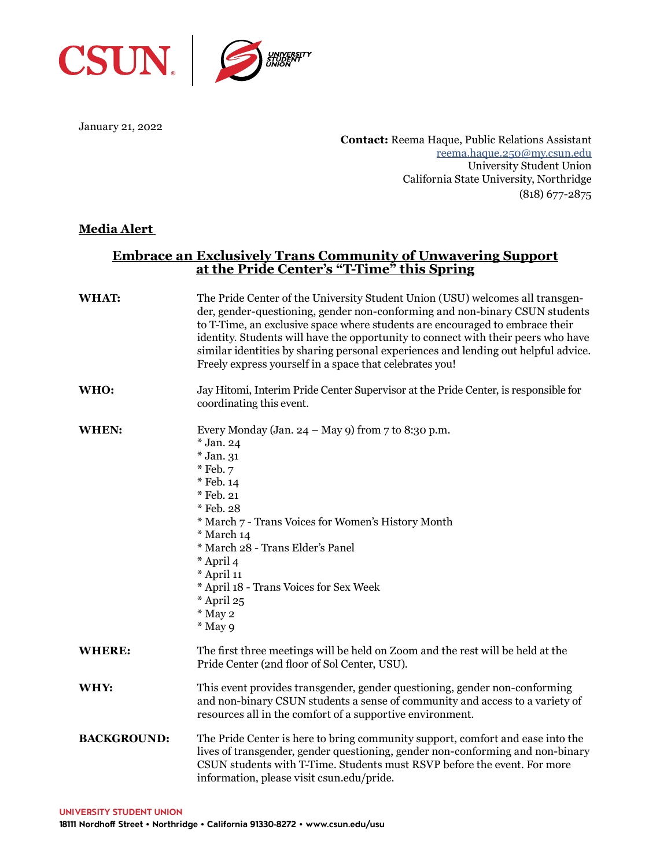

January 21, 2022

**Contact:** Reema Haque, Public Relations Assistant [reema.haque.250@my.csun.edu](mailto:reema.haque.250%40my.csun.edu?subject=) University Student Union California State University, Northridge (818) 677-2875

## **Media Alert**

## **Embrace an Exclusively Trans Community of Unwavering Support at the Pride Center's "T-Time" this Spring**

| WHAT:              | The Pride Center of the University Student Union (USU) welcomes all transgen-<br>der, gender-questioning, gender non-conforming and non-binary CSUN students<br>to T-Time, an exclusive space where students are encouraged to embrace their<br>identity. Students will have the opportunity to connect with their peers who have<br>similar identities by sharing personal experiences and lending out helpful advice.<br>Freely express yourself in a space that celebrates you! |
|--------------------|------------------------------------------------------------------------------------------------------------------------------------------------------------------------------------------------------------------------------------------------------------------------------------------------------------------------------------------------------------------------------------------------------------------------------------------------------------------------------------|
| WHO:               | Jay Hitomi, Interim Pride Center Supervisor at the Pride Center, is responsible for<br>coordinating this event.                                                                                                                                                                                                                                                                                                                                                                    |
| WHEN:              | Every Monday (Jan. 24 – May 9) from $7$ to 8:30 p.m.<br>* Jan. 24<br>* Jan. 31<br>* Feb. 7<br>* Feb. 14<br>* Feb. 21<br>* Feb. 28<br>* March 7 - Trans Voices for Women's History Month<br>* March 14<br>* March 28 - Trans Elder's Panel<br>* April 4<br>* April 11<br>* April 18 - Trans Voices for Sex Week<br>* April 25<br>* May 2<br>* May 9                                                                                                                                 |
| <b>WHERE:</b>      | The first three meetings will be held on Zoom and the rest will be held at the<br>Pride Center (2nd floor of Sol Center, USU).                                                                                                                                                                                                                                                                                                                                                     |
| WHY:               | This event provides transgender, gender questioning, gender non-conforming<br>and non-binary CSUN students a sense of community and access to a variety of<br>resources all in the comfort of a supportive environment.                                                                                                                                                                                                                                                            |
| <b>BACKGROUND:</b> | The Pride Center is here to bring community support, comfort and ease into the<br>lives of transgender, gender questioning, gender non-conforming and non-binary<br>CSUN students with T-Time. Students must RSVP before the event. For more<br>information, please visit csun.edu/pride.                                                                                                                                                                                          |